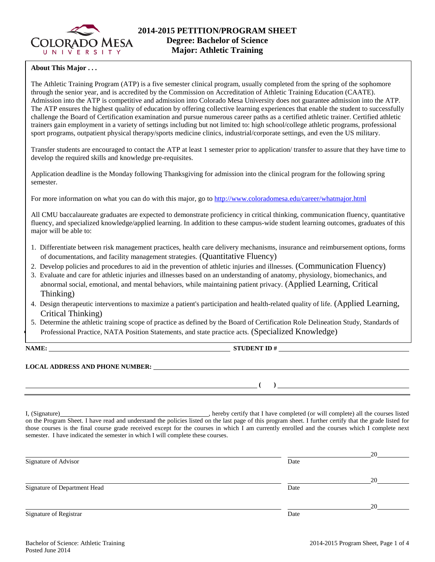

# **About This Major . . .**

The Athletic Training Program (ATP) is a five semester clinical program, usually completed from the spring of the sophomore through the senior year, and is accredited by the Commission on Accreditation of Athletic Training Education (CAATE). Admission into the ATP is competitive and admission into Colorado Mesa University does not guarantee admission into the ATP. The ATP ensures the highest quality of education by offering collective learning experiences that enable the student to successfully challenge the Board of Certification examination and pursue numerous career paths as a certified athletic trainer. Certified athletic trainers gain employment in a variety of settings including but not limited to: high school/college athletic programs, professional sport programs, outpatient physical therapy/sports medicine clinics, industrial/corporate settings, and even the US military.

Transfer students are encouraged to contact the ATP at least 1 semester prior to application/ transfer to assure that they have time to develop the required skills and knowledge pre-requisites.

Application deadline is the Monday following Thanksgiving for admission into the clinical program for the following spring semester.

For more information on what you can do with this major, go to<http://www.coloradomesa.edu/career/whatmajor.html>

All CMU baccalaureate graduates are expected to demonstrate proficiency in critical thinking, communication fluency, quantitative fluency, and specialized knowledge/applied learning. In addition to these campus-wide student learning outcomes, graduates of this major will be able to:

- 1. Differentiate between risk management practices, health care delivery mechanisms, insurance and reimbursement options, forms of documentations, and facility management strategies. (Quantitative Fluency)
- 2. Develop policies and procedures to aid in the prevention of athletic injuries and illnesses. (Communication Fluency)
- 3. Evaluate and care for athletic injuries and illnesses based on an understanding of anatomy, physiology, biomechanics, and abnormal social, emotional, and mental behaviors, while maintaining patient privacy. (Applied Learning, Critical Thinking)
- 4. Design therapeutic interventions to maximize a patient's participation and health-related quality of life. (Applied Learning, Critical Thinking)
- 5. Determine the athletic training scope of practice as defined by the Board of Certification Role Delineation Study, Standards of Professional Practice, NATA Position Statements, and state practice acts. (Specialized Knowledge)

**NAME: STUDENT ID #**

# **LOCAL ADDRESS AND PHONE NUMBER:**

**( )** 

I, (Signature) , hereby certify that I have completed (or will complete) all the courses listed on the Program Sheet. I have read and understand the policies listed on the last page of this program sheet. I further certify that the grade listed for those courses is the final course grade received except for the courses in which I am currently enrolled and the courses which I complete next semester. I have indicated the semester in which I will complete these courses.

|                              |      | 20 |
|------------------------------|------|----|
| Signature of Advisor         | Date |    |
|                              |      | 20 |
| Signature of Department Head | Date |    |
|                              |      | 20 |
| Signature of Registrar       | Date |    |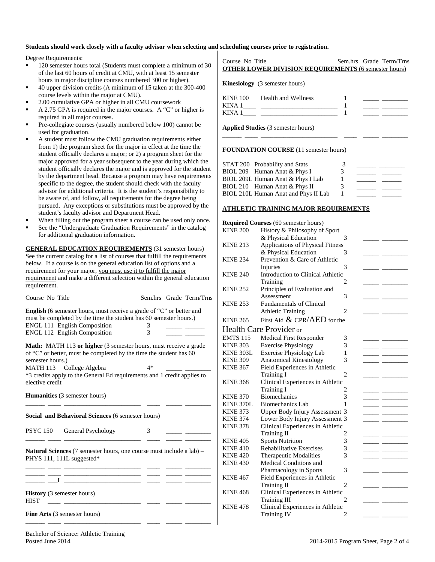#### **Students should work closely with a faculty advisor when selecting and scheduling courses prior to registration.**

#### Degree Requirements:

- 120 semester hours total (Students must complete a minimum of 30 of the last 60 hours of credit at CMU, with at least 15 semester hours in major discipline courses numbered 300 or higher).
- 40 upper division credits (A minimum of 15 taken at the 300-400 course levels within the major at CMU).
- 2.00 cumulative GPA or higher in all CMU coursework
- A 2.75 GPA is required in the major courses. A "C" or higher is required in all major courses.
- Pre-collegiate courses (usually numbered below 100) cannot be used for graduation.
- A student must follow the CMU graduation requirements either from 1) the program sheet for the major in effect at the time the student officially declares a major; or 2) a program sheet for the major approved for a year subsequent to the year during which the student officially declares the major and is approved for the student by the department head. Because a program may have requirements specific to the degree, the student should check with the faculty advisor for additional criteria. It is the student's responsibility to be aware of, and follow, all requirements for the degree being pursued. Any exceptions or substitutions must be approved by the student's faculty advisor and Department Head.
- When filling out the program sheet a course can be used only once.
- See the "Undergraduate Graduation Requirements" in the catalog for additional graduation information.

**GENERAL EDUCATION REQUIREMENTS** (31 semester hours) See the current catalog for a list of courses that fulfill the requirements below. If a course is on the general education list of options and a requirement for your major, you must use it to fulfill the major requirement and make a different selection within the general education requirement.

| Course No Title                                                                                                                                                                                                                                                                                     |        |  | Sem.hrs Grade Term/Trns |
|-----------------------------------------------------------------------------------------------------------------------------------------------------------------------------------------------------------------------------------------------------------------------------------------------------|--------|--|-------------------------|
| <b>English</b> (6 semester hours, must receive a grade of "C" or better and<br>must be completed by the time the student has 60 semester hours.)<br>ENGL 111 English Composition<br>ENGL 112 English Composition                                                                                    | 3<br>3 |  |                         |
| <b>Math:</b> MATH 113 or higher (3 semester hours, must receive a grade<br>of "C" or better, must be completed by the time the student has 60<br>semester hours.)<br>MATH 113 College Algebra<br>$4*$<br>*3 credits apply to the General Ed requirements and 1 credit applies to<br>elective credit |        |  |                         |
| <b>Humanities</b> (3 semester hours)                                                                                                                                                                                                                                                                |        |  |                         |
| Social and Behavioral Sciences (6 semester hours)                                                                                                                                                                                                                                                   |        |  |                         |
| PSYC 150<br>General Psychology                                                                                                                                                                                                                                                                      | 3      |  |                         |
| Natural Sciences (7 semester hours, one course must include a lab) -<br>PHYS 111, 111L suggested*<br><u> 1988 - Johann John Stone, meil er sich aus der Stone (</u><br>History (3 semester hours)<br><b>HIST</b><br><u> 1999 - John Harrison, mars et</u>                                           |        |  |                         |
| <b>Fine Arts</b> (3 semester hours)                                                                                                                                                                                                                                                                 |        |  |                         |

\_\_\_\_\_\_ \_\_\_\_ \_\_\_\_\_\_\_\_\_\_\_\_\_\_\_\_\_\_\_\_\_\_\_\_ \_\_\_\_ \_\_\_\_\_ \_\_\_\_\_\_\_\_

# **OTHER LOWER DIVISION REQUIREMENTS** (6 semester hours) **Kinesiology** (3 semester hours) KINE 100 Health and Wellness 1<br>KINA 1 1 KINA 1\_\_\_\_ \_\_\_\_\_\_\_\_\_\_\_\_\_\_\_\_\_\_\_\_\_\_\_\_ 1 \_\_\_\_\_ \_\_\_\_\_\_\_\_ KINA  $1$   $1$ **Applied Studies** (3 semester hours)

Course No Title Sem.hrs Grade Term/Trns

\_\_\_\_\_\_ \_\_\_\_ \_\_\_\_\_\_\_\_\_\_\_\_\_\_\_\_\_\_\_\_\_\_\_\_ \_\_\_\_ \_\_\_\_\_ \_\_\_\_\_\_\_\_

#### **FOUNDATION COURSE** (11 semester hours)

| STAT 200 Probability and Stats       | 3 |  |
|--------------------------------------|---|--|
| BIOL 209 Human Anat & Phys I         | 3 |  |
| BIOL 209L Human Anat & Phys I Lab    |   |  |
| BIOL 210 Human Anat & Phys II        | 3 |  |
| BIOL 210L Human Anat and Phys II Lab |   |  |

# **ATHLETIC TRAINING MAJOR REQUIREMENTS**

### **Required Courses** (60 semester hours) KINE 200 History & Philosophy of Sport & Physical Education 3 \_\_\_\_\_ \_\_\_\_\_\_\_\_ KINE 213 Applications of Physical Fitness & Physical Education 3 \_\_\_\_\_ \_\_\_\_\_\_\_\_ KINE 234 Prevention & Care of Athletic Injuries 3 KINE 240 Introduction to Clinical Athletic Training 2 KINE 252 Principles of Evaluation and Assessment 3 KINE 253 Fundamentals of Clinical Athletic Training 2 KINE 265 First Aid  $&$  CPR/AED for the **Health Care Provider or<br>EMTS 115** Medical First Re EMTS 115 Medical First Responder 3<br>
KINE 303 Exercise Physiology 3 Exercise Physiology 3 KINE  $303L$  Exercise Physiology Lab  $1$ KINE 309 Anatomical Kinesiology 3<br>KINE 367 Field Experiences in Athletic Field Experiences in Athletic Training I 2 KINE 368 Clinical Experiences in Athletic Training I 2 KINE 370 Biomechanics 3 KINE 370L Biomechanics Lab 1 KINE  $373$  Upper Body Injury Assessment 3 KINE 374 Lower Body Injury Assessment 3 KINE 378 Clinical Experiences in Athletic Training II 2 KINE 405 Sports Nutrition 3<br>
KINE 410 Rehabilitative Exercises 3 KINE 410 Rehabilitative Exercises 3<br>KINE 420 Therapeutic Modalities 3 Therapeutic Modalities KINE 430 Medical Conditions and Pharmacology in Sports 3 \_\_\_\_\_ \_\_\_\_\_\_\_\_ KINE 467 Field Experiences in Athletic Training II 2 KINE 468 Clinical Experiences in Athletic Training III 2 KINE 478 Clinical Experiences in Athletic Training IV 2

Bachelor of Science: Athletic Training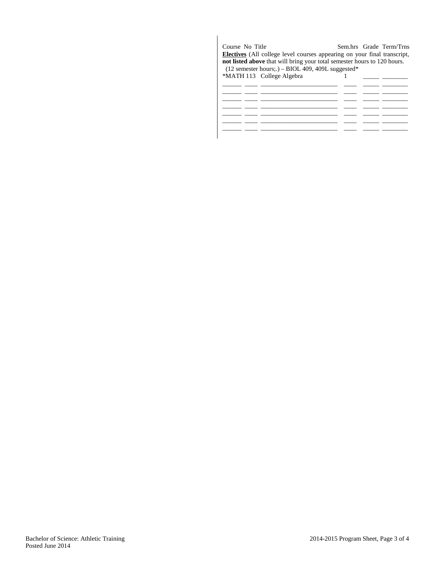| Course No Title | <b>Electives</b> (All college level courses appearing on your final transcript,<br>not listed above that will bring your total semester hours to 120 hours.<br>$(12$ semester hours;.) – BIOL 409, 409L suggested* |  | Sem.hrs Grade Term/Trns |
|-----------------|--------------------------------------------------------------------------------------------------------------------------------------------------------------------------------------------------------------------|--|-------------------------|
|                 | *MATH 113 College Algebra                                                                                                                                                                                          |  |                         |
|                 |                                                                                                                                                                                                                    |  |                         |
|                 |                                                                                                                                                                                                                    |  |                         |
|                 |                                                                                                                                                                                                                    |  |                         |
|                 |                                                                                                                                                                                                                    |  |                         |
|                 |                                                                                                                                                                                                                    |  |                         |
|                 |                                                                                                                                                                                                                    |  |                         |
|                 |                                                                                                                                                                                                                    |  |                         |
|                 |                                                                                                                                                                                                                    |  |                         |